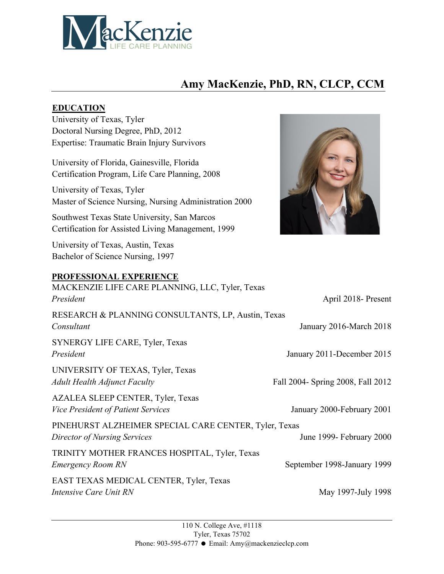

## **Amy MacKenzie, PhD, RN, CLCP, CCM**

#### **EDUCATION**

University of Texas, Tyler Doctoral Nursing Degree, PhD, 2012 Expertise: Traumatic Brain Injury Survivors

University of Florida, Gainesville, Florida Certification Program, Life Care Planning, 2008

University of Texas, Tyler Master of Science Nursing, Nursing Administration 2000

Southwest Texas State University, San Marcos Certification for Assisted Living Management, 1999

University of Texas, Austin, Texas Bachelor of Science Nursing, 1997

### **PROFESSIONAL EXPERIENCE**



| I ROI EBBIONAL EAI ERIENCE<br>MACKENZIE LIFE CARE PLANNING, LLC, Tyler, Texas  |                                   |
|--------------------------------------------------------------------------------|-----------------------------------|
| President                                                                      | April 2018- Present               |
| RESEARCH & PLANNING CONSULTANTS, LP, Austin, Texas<br>Consultant               | January 2016-March 2018           |
| SYNERGY LIFE CARE, Tyler, Texas<br>President                                   | January 2011-December 2015        |
| UNIVERSITY OF TEXAS, Tyler, Texas<br><b>Adult Health Adjunct Faculty</b>       | Fall 2004- Spring 2008, Fall 2012 |
| AZALEA SLEEP CENTER, Tyler, Texas<br><b>Vice President of Patient Services</b> | January 2000-February 2001        |
| PINEHURST ALZHEIMER SPECIAL CARE CENTER, Tyler, Texas                          |                                   |
| Director of Nursing Services                                                   | June 1999- February 2000          |
| TRINITY MOTHER FRANCES HOSPITAL, Tyler, Texas<br><b>Emergency Room RN</b>      | September 1998-January 1999       |
| EAST TEXAS MEDICAL CENTER, Tyler, Texas<br>Intensive Care Unit RN              | May 1997-July 1998                |